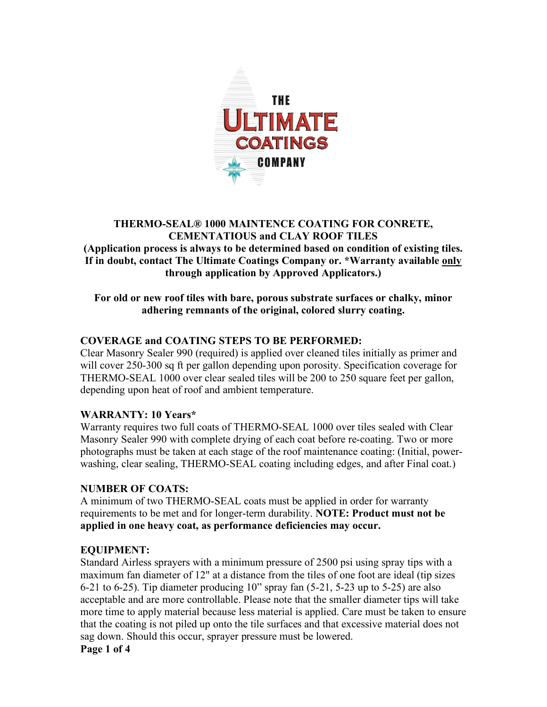

## **THERMO-SEAL® 1000 MAINTENCE COATING FOR CONRETE, CEMENTATIOUS and CLAY ROOF TILES (Application process is always to be determined based on condition of existing tiles. If in doubt, contact The Ultimate Coatings Company or. \*Warranty available only through application by Approved Applicators.)**

#### **For old or new roof tiles with bare, porous substrate surfaces or chalky, minor adhering remnants of the original, colored slurry coating.**

# **COVERAGE and COATING STEPS TO BE PERFORMED:**

Clear Masonry Sealer 990 (required) is applied over cleaned tiles initially as primer and will cover 250-300 sq ft per gallon depending upon porosity. Specification coverage for THERMO-SEAL 1000 over clear sealed tiles will be 200 to 250 square feet per gallon, depending upon heat of roof and ambient temperature.

## **WARRANTY: 10 Years\***

Warranty requires two full coats of THERMO-SEAL 1000 over tiles sealed with Clear Masonry Sealer 990 with complete drying of each coat before re-coating. Two or more photographs must be taken at each stage of the roof maintenance coating: (Initial, powerwashing, clear sealing, THERMO-SEAL coating including edges, and after Final coat.)

## **NUMBER OF COATS:**

A minimum of two THERMO-SEAL coats must be applied in order for warranty requirements to be met and for longer-term durability. **NOTE: Product must not be applied in one heavy coat, as performance deficiencies may occur.**

## **EQUIPMENT:**

Standard Airless sprayers with a minimum pressure of 2500 psi using spray tips with a maximum fan diameter of 12" at a distance from the tiles of one foot are ideal (tip sizes 6-21 to 6-25). Tip diameter producing 10" spray fan (5-21, 5-23 up to 5-25) are also acceptable and are more controllable. Please note that the smaller diameter tips will take more time to apply material because less material is applied. Care must be taken to ensure that the coating is not piled up onto the tile surfaces and that excessive material does not sag down. Should this occur, sprayer pressure must be lowered. **Page 1 of 4**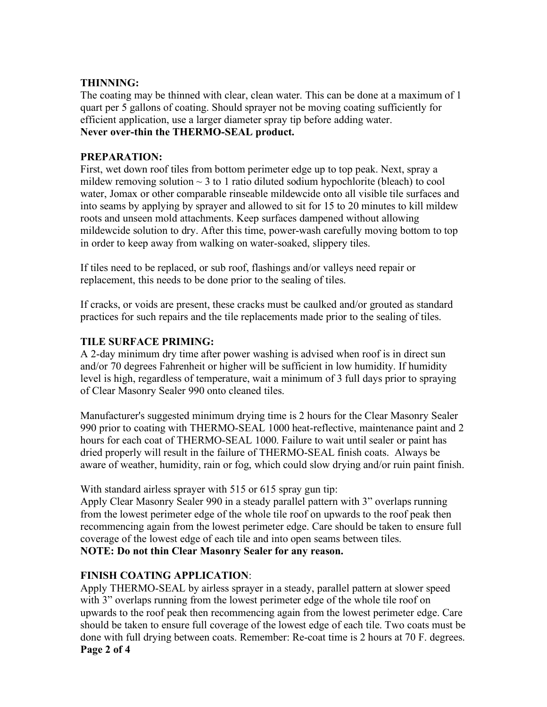#### **THINNING:**

The coating may be thinned with clear, clean water. This can be done at a maximum of 1 quart per 5 gallons of coating. Should sprayer not be moving coating sufficiently for efficient application, use a larger diameter spray tip before adding water. **Never over-thin the THERMO-SEAL product.**

#### **PREPARATION:**

First, wet down roof tiles from bottom perimeter edge up to top peak. Next, spray a mildew removing solution  $\sim$  3 to 1 ratio diluted sodium hypochlorite (bleach) to cool water, Jomax or other comparable rinseable mildewcide onto all visible tile surfaces and into seams by applying by sprayer and allowed to sit for 15 to 20 minutes to kill mildew roots and unseen mold attachments. Keep surfaces dampened without allowing mildewcide solution to dry. After this time, power-wash carefully moving bottom to top in order to keep away from walking on water-soaked, slippery tiles.

If tiles need to be replaced, or sub roof, flashings and/or valleys need repair or replacement, this needs to be done prior to the sealing of tiles.

If cracks, or voids are present, these cracks must be caulked and/or grouted as standard practices for such repairs and the tile replacements made prior to the sealing of tiles.

#### **TILE SURFACE PRIMING:**

A 2-day minimum dry time after power washing is advised when roof is in direct sun and/or 70 degrees Fahrenheit or higher will be sufficient in low humidity. If humidity level is high, regardless of temperature, wait a minimum of 3 full days prior to spraying of Clear Masonry Sealer 990 onto cleaned tiles.

Manufacturer's suggested minimum drying time is 2 hours for the Clear Masonry Sealer 990 prior to coating with THERMO-SEAL 1000 heat-reflective, maintenance paint and 2 hours for each coat of THERMO-SEAL 1000. Failure to wait until sealer or paint has dried properly will result in the failure of THERMO-SEAL finish coats. Always be aware of weather, humidity, rain or fog, which could slow drying and/or ruin paint finish.

With standard airless sprayer with 515 or 615 spray gun tip:

Apply Clear Masonry Sealer 990 in a steady parallel pattern with 3" overlaps running from the lowest perimeter edge of the whole tile roof on upwards to the roof peak then recommencing again from the lowest perimeter edge. Care should be taken to ensure full coverage of the lowest edge of each tile and into open seams between tiles. **NOTE: Do not thin Clear Masonry Sealer for any reason.**

## **FINISH COATING APPLICATION**:

Apply THERMO-SEAL by airless sprayer in a steady, parallel pattern at slower speed with 3" overlaps running from the lowest perimeter edge of the whole tile roof on upwards to the roof peak then recommencing again from the lowest perimeter edge. Care should be taken to ensure full coverage of the lowest edge of each tile. Two coats must be done with full drying between coats. Remember: Re-coat time is 2 hours at 70 F. degrees. **Page 2 of 4**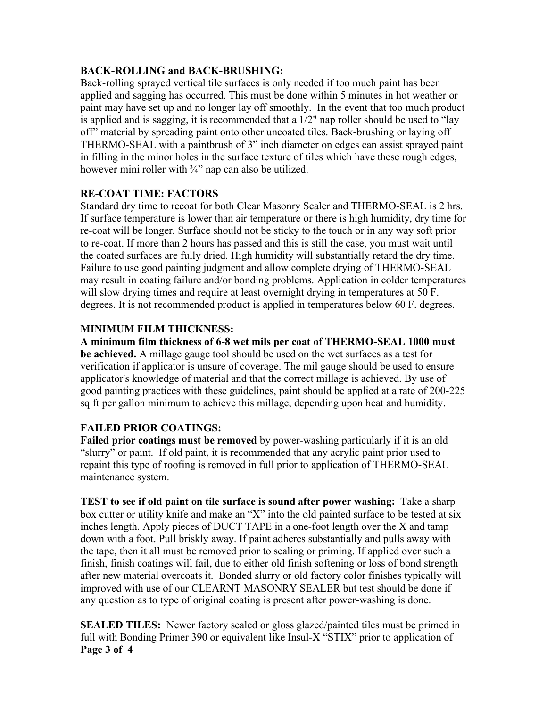#### **BACK-ROLLING and BACK-BRUSHING:**

Back-rolling sprayed vertical tile surfaces is only needed if too much paint has been applied and sagging has occurred. This must be done within 5 minutes in hot weather or paint may have set up and no longer lay off smoothly. In the event that too much product is applied and is sagging, it is recommended that a 1/2" nap roller should be used to "lay off" material by spreading paint onto other uncoated tiles. Back-brushing or laying off THERMO-SEAL with a paintbrush of 3" inch diameter on edges can assist sprayed paint in filling in the minor holes in the surface texture of tiles which have these rough edges, however mini roller with  $\frac{3}{4}$ " nap can also be utilized.

#### **RE-COAT TIME: FACTORS**

Standard dry time to recoat for both Clear Masonry Sealer and THERMO-SEAL is 2 hrs. If surface temperature is lower than air temperature or there is high humidity, dry time for re-coat will be longer. Surface should not be sticky to the touch or in any way soft prior to re-coat. If more than 2 hours has passed and this is still the case, you must wait until the coated surfaces are fully dried. High humidity will substantially retard the dry time. Failure to use good painting judgment and allow complete drying of THERMO-SEAL may result in coating failure and/or bonding problems. Application in colder temperatures will slow drying times and require at least overnight drying in temperatures at 50 F. degrees. It is not recommended product is applied in temperatures below 60 F. degrees.

## **MINIMUM FILM THICKNESS:**

**A minimum film thickness of 6-8 wet mils per coat of THERMO-SEAL 1000 must be achieved.** A millage gauge tool should be used on the wet surfaces as a test for verification if applicator is unsure of coverage. The mil gauge should be used to ensure applicator's knowledge of material and that the correct millage is achieved. By use of good painting practices with these guidelines, paint should be applied at a rate of 200-225 sq ft per gallon minimum to achieve this millage, depending upon heat and humidity.

## **FAILED PRIOR COATINGS:**

**Failed prior coatings must be removed** by power-washing particularly if it is an old "slurry" or paint. If old paint, it is recommended that any acrylic paint prior used to repaint this type of roofing is removed in full prior to application of THERMO-SEAL maintenance system.

**TEST to see if old paint on tile surface is sound after power washing:** Take a sharp box cutter or utility knife and make an "X" into the old painted surface to be tested at six inches length. Apply pieces of DUCT TAPE in a one-foot length over the X and tamp down with a foot. Pull briskly away. If paint adheres substantially and pulls away with the tape, then it all must be removed prior to sealing or priming. If applied over such a finish, finish coatings will fail, due to either old finish softening or loss of bond strength after new material overcoats it. Bonded slurry or old factory color finishes typically will improved with use of our CLEARNT MASONRY SEALER but test should be done if any question as to type of original coating is present after power-washing is done.

**SEALED TILES:** Newer factory sealed or gloss glazed/painted tiles must be primed in full with Bonding Primer 390 or equivalent like Insul-X "STIX" prior to application of **Page 3 of 4**